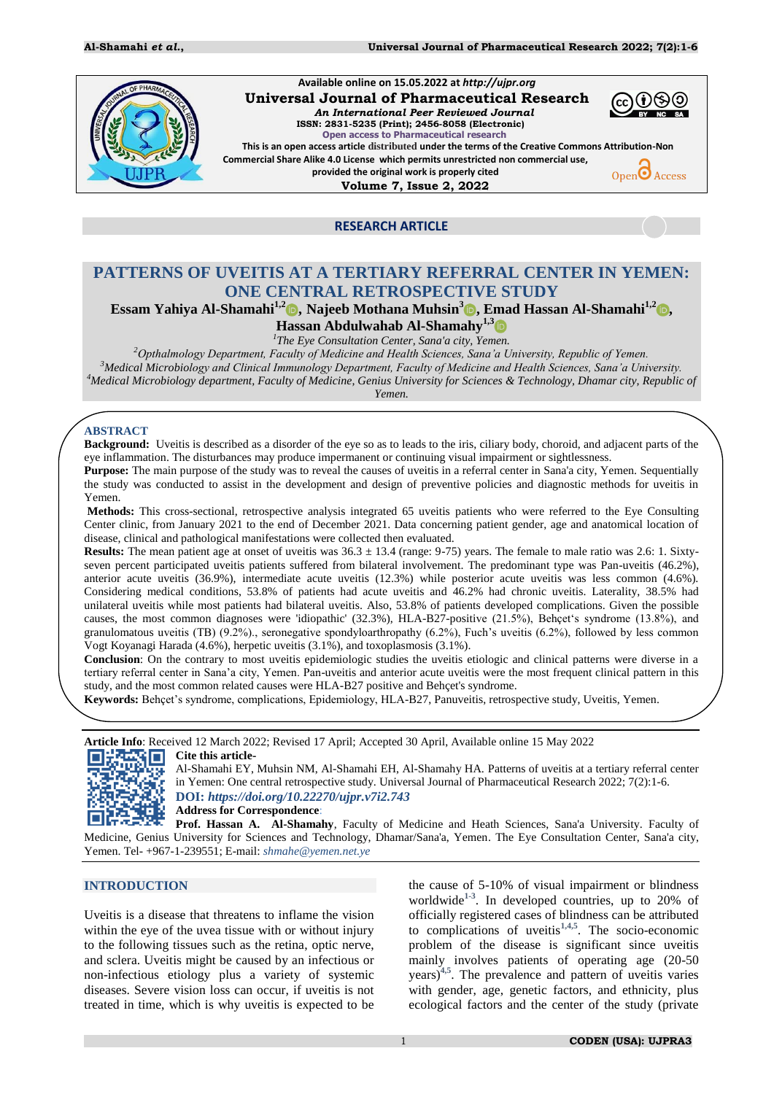

# **RESEARCH ARTICLE**

# **PATTERNS OF UVEITIS AT A TERTIARY REFERRAL CENTER IN YEMEN: ONE CENTRAL RETROSPECTIVE STUDY**

**Essam Yahiya Al-Shamahi1,2 , Najeeb Mothana Muhsin<sup>3</sup> , Emad Hassan Al-Shamahi1,2 , Hassan Abdulwahab Al-Shamahy1,3**

*1 The Eye Consultation Center, Sana'a city, Yemen.* 

*<sup>2</sup>Opthalmology Department, Faculty of Medicine and Health Sciences, Sana'a University, Republic of Yemen.* 

*<sup>3</sup>Medical Microbiology and Clinical Immunology Department, Faculty of Medicine and Health Sciences, Sana'a University.* 

*<sup>4</sup>Medical Microbiology department, Faculty of Medicine, Genius University for Sciences & Technology, Dhamar city, Republic of Yemen.* 

# **ABSTRACT**

**Background:** Uveitis is described as a disorder of the eye so as to leads to the iris, ciliary body, choroid, and adjacent parts of the eye inflammation. The disturbances may produce impermanent or continuing visual impairment or sightlessness.

**Purpose:** The main purpose of the study was to reveal the causes of uveitis in a referral center in Sana'a city, Yemen. Sequentially the study was conducted to assist in the development and design of preventive policies and diagnostic methods for uveitis in Yemen.

**Methods:** This cross-sectional, retrospective analysis integrated 65 uveitis patients who were referred to the Eye Consulting Center clinic, from January 2021 to the end of December 2021. Data concerning patient gender, age and anatomical location of disease, clinical and pathological manifestations were collected then evaluated.

**Results:** The mean patient age at onset of uveitis was  $36.3 \pm 13.4$  (range: 9-75) years. The female to male ratio was 2.6: 1. Sixtyseven percent participated uveitis patients suffered from bilateral involvement. The predominant type was Pan-uveitis (46.2%), anterior acute uveitis (36.9%), intermediate acute uveitis (12.3%) while posterior acute uveitis was less common (4.6%). Considering medical conditions, 53.8% of patients had acute uveitis and 46.2% had chronic uveitis. Laterality, 38.5% had unilateral uveitis while most patients had bilateral uveitis. Also, 53.8% of patients developed complications. Given the possible causes, the most common diagnoses were 'idiopathic' (32.3%), HLA-B27-positive (21.5%), Behçet's syndrome (13.8%), and granulomatous uveitis (TB) (9.2%)., seronegative spondyloarthropathy (6.2%), Fuch's uveitis (6.2%), followed by less common Vogt Koyanagi Harada (4.6%), herpetic uveitis (3.1%), and toxoplasmosis (3.1%).

**Conclusion**: On the contrary to most uveitis epidemiologic studies the uveitis etiologic and clinical patterns were diverse in a tertiary referral center in Sana"a city, Yemen. Pan-uveitis and anterior acute uveitis were the most frequent clinical pattern in this study, and the most common related causes were HLA-B27 positive and Behçet's syndrome.

**Keywords:** Behçet"s syndrome, complications, Epidemiology, HLA-B27, Panuveitis, retrospective study, Uveitis, Yemen.

**Article Info**: Received 12 March 2022; Revised 17 April; Accepted 30 April, Available online 15 May 2022<br> **ALShamabi EX** Muhsin NM ALShamabi EH ALShamaby HA Patterns of uveitis at a **Cite this article-**



Al-Shamahi EY, Muhsin NM, Al-Shamahi EH, Al-Shamahy HA. Patterns of uveitis at a tertiary referral center in Yemen: One central retrospective study. Universal Journal of Pharmaceutical Research 2022; 7(2):1-6. **DOI:** *<https://doi.org/10.22270/ujpr.v7i2.743>*

**Address for Correspondence**:

**Prof. Hassan A. Al-Shamahy**, Faculty of Medicine and Heath Sciences, Sana'a University. Faculty of Medicine, Genius University for Sciences and Technology, Dhamar/Sana'a, Yemen. The Eye Consultation Center, Sana'a city, Yemen. Tel- +967-1-239551; E-mail: *[shmahe@yemen.net.ye](mailto:shmahe@yemen.net.ye)*

# **INTRODUCTION**

Uveitis is a disease that threatens to inflame the vision within the eye of the uvea tissue with or without injury to the following tissues such as the retina, optic nerve, and sclera. Uveitis might be caused by an infectious or non-infectious etiology plus a variety of systemic diseases. Severe vision loss can occur, if uveitis is not treated in time, which is why uveitis is expected to be

the cause of 5-10% of visual impairment or blindness worldwide**[1-](#page-3-0)[3](#page-3-1)** . In developed countries, up to 20% of officially registered cases of blindness can be attributed to complications of uveitis**[1,](#page-3-0)[4,](#page-3-2)[5](#page-3-3)** . The socio-economic problem of the disease is significant since uveitis mainly involves patients of operating age (20-50 years)**[4,](#page-3-2)[5](#page-3-3)** . The prevalence and pattern of uveitis varies with gender, age, genetic factors, and ethnicity, plus ecological factors and the center of the study (private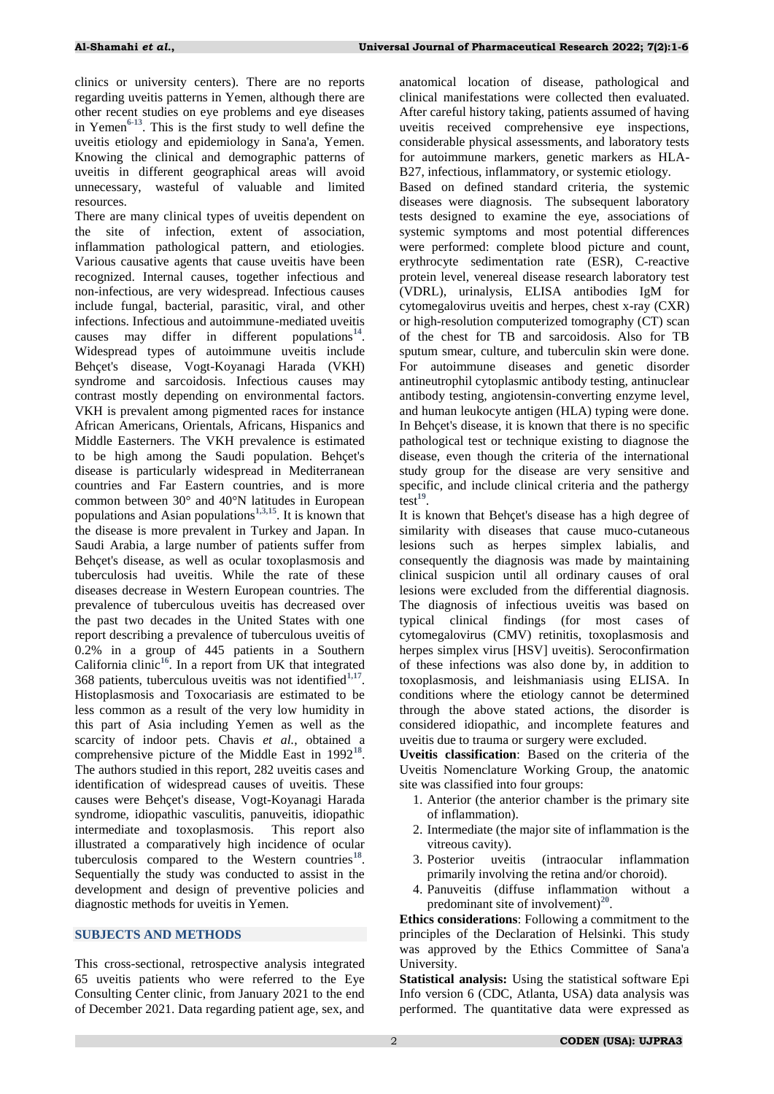clinics or university centers). There are no reports regarding uveitis patterns in Yemen, although there are other recent studies on eye problems and eye diseases in Yemen**[6](#page-4-0)[-13](#page-4-1)**. This is the first study to well define the uveitis etiology and epidemiology in Sana'a, Yemen. Knowing the clinical and demographic patterns of uveitis in different geographical areas will avoid unnecessary, wasteful of valuable and limited resources.

There are many clinical types of uveitis dependent on the site of infection, extent of association, inflammation pathological pattern, and etiologies. Various causative agents that cause uveitis have been recognized. Internal causes, together infectious and non-infectious, are very widespread. Infectious causes include fungal, bacterial, parasitic, viral, and other infections. Infectious and autoimmune-mediated uveitis causes may differ in different populations<sup>[14](#page-4-2)</sup>. Widespread types of autoimmune uveitis include Behçet's disease, Vogt-Koyanagi Harada (VKH) syndrome and sarcoidosis. Infectious causes may contrast mostly depending on environmental factors. VKH is prevalent among pigmented races for instance African Americans, Orientals, Africans, Hispanics and Middle Easterners. The VKH prevalence is estimated to be high among the Saudi population. Behçet's disease is particularly widespread in Mediterranean countries and Far Eastern countries, and is more common between 30° and 40°N latitudes in European populations and Asian populations**[1,](#page-3-0)[3,](#page-3-1)[15](#page-4-3)**. It is known that the disease is more prevalent in Turkey and Japan. In Saudi Arabia, a large number of patients suffer from Behçet's disease, as well as ocular toxoplasmosis and tuberculosis had uveitis. While the rate of these diseases decrease in Western European countries. The prevalence of tuberculous uveitis has decreased over the past two decades in the United States with one report describing a prevalence of tuberculous uveitis of 0.2% in a group of 445 patients in a Southern California clinic**[16](#page-4-4)**. In a report from UK that integrated 368 patients, tuberculous uveitis was not identified**[1,](#page-3-0)[17](#page-4-5)** . Histoplasmosis and Toxocariasis are estimated to be less common as a result of the very low humidity in this part of Asia including Yemen as well as the scarcity of indoor pets. Chavis *et al.*, obtained a comprehensive picture of the Middle East in 1992<sup>[18](#page-4-6)</sup>. The authors studied in this report, 282 uveitis cases and identification of widespread causes of uveitis. These causes were Behçet's disease, Vogt-Koyanagi Harada syndrome, idiopathic vasculitis, panuveitis, idiopathic intermediate and toxoplasmosis. This report also illustrated a comparatively high incidence of ocular tuberculosis compared to the Western countries<sup>[18](#page-4-6)</sup>. Sequentially the study was conducted to assist in the development and design of preventive policies and diagnostic methods for uveitis in Yemen.

# **SUBJECTS AND METHODS**

This cross-sectional, retrospective analysis integrated 65 uveitis patients who were referred to the Eye Consulting Center clinic, from January 2021 to the end of December 2021. Data regarding patient age, sex, and anatomical location of disease, pathological and clinical manifestations were collected then evaluated. After careful history taking, patients assumed of having uveitis received comprehensive eye inspections, considerable physical assessments, and laboratory tests for autoimmune markers, genetic markers as HLA-B27, infectious, inflammatory, or systemic etiology.

Based on defined standard criteria, the systemic diseases were diagnosis. The subsequent laboratory tests designed to examine the eye, associations of systemic symptoms and most potential differences were performed: complete blood picture and count, erythrocyte sedimentation rate (ESR), C-reactive protein level, venereal disease research laboratory test (VDRL), urinalysis, ELISA antibodies IgM for cytomegalovirus uveitis and herpes, chest x-ray (CXR) or high-resolution computerized tomography (CT) scan of the chest for TB and sarcoidosis. Also for TB sputum smear, culture, and tuberculin skin were done. For autoimmune diseases and genetic disorder antineutrophil cytoplasmic antibody testing, antinuclear antibody testing, angiotensin-converting enzyme level, and human leukocyte antigen (HLA) typing were done. In Behçet's disease, it is known that there is no specific pathological test or technique existing to diagnose the disease, even though the criteria of the international study group for the disease are very sensitive and specific, and include clinical criteria and the pathergy  $\text{test}^{19}$  $\text{test}^{19}$  $\text{test}^{19}$ .

It is known that Behçet's disease has a high degree of similarity with diseases that cause muco-cutaneous lesions such as herpes simplex labialis, and consequently the diagnosis was made by maintaining clinical suspicion until all ordinary causes of oral lesions were excluded from the differential diagnosis. The diagnosis of infectious uveitis was based on typical clinical findings (for most cases of cytomegalovirus (CMV) retinitis, toxoplasmosis and herpes simplex virus [HSV] uveitis). Seroconfirmation of these infections was also done by, in addition to toxoplasmosis, and leishmaniasis using ELISA. In conditions where the etiology cannot be determined through the above stated actions, the disorder is considered idiopathic, and incomplete features and uveitis due to trauma or surgery were excluded.

**Uveitis classification**: Based on the criteria of the Uveitis Nomenclature Working Group, the anatomic site was classified into four groups:

- 1. Anterior (the anterior chamber is the primary site of inflammation).
- 2. Intermediate (the major site of inflammation is the vitreous cavity).
- 3. Posterior uveitis (intraocular inflammation primarily involving the retina and/or choroid).
- 4. Panuveitis (diffuse inflammation without a predominant site of involvement)<sup>[20](#page-4-8)</sup>.

**Ethics considerations**: Following a commitment to the principles of the Declaration of Helsinki. This study was approved by the Ethics Committee of Sana'a University.

**Statistical analysis:** Using the statistical software Epi Info version 6 (CDC, Atlanta, USA) data analysis was performed. The quantitative data were expressed as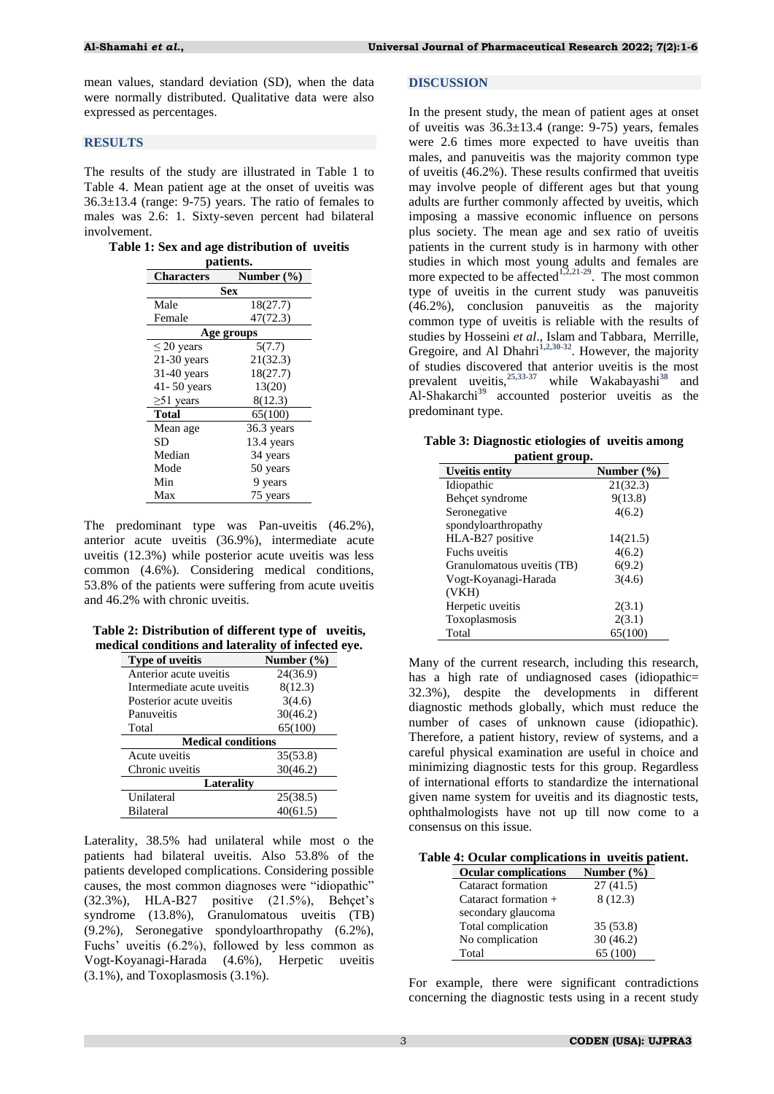mean values, standard deviation (SD), when the data were normally distributed. Qualitative data were also expressed as percentages.

#### **RESULTS**

The results of the study are illustrated in Table 1 to Table 4. Mean patient age at the onset of uveitis was 36.3±13.4 (range: 9-75) years. The ratio of females to males was 2.6: 1. Sixty-seven percent had bilateral involvement.

**Table 1: Sex and age distribution of uveitis patients.**

| bauents.          |                |  |  |  |
|-------------------|----------------|--|--|--|
| <b>Characters</b> | Number $(\% )$ |  |  |  |
| Sex               |                |  |  |  |
| Male              | 18(27.7)       |  |  |  |
| Female            | 47(72.3)       |  |  |  |
| Age groups        |                |  |  |  |
| $\leq$ 20 years   | 5(7.7)         |  |  |  |
| $21-30$ years     | 21(32.3)       |  |  |  |
| 31-40 years       | 18(27.7)       |  |  |  |
| 41-50 years       | 13(20)         |  |  |  |
| $\geq 51$ years   | 8(12.3)        |  |  |  |
| <b>Total</b>      | 65(100)        |  |  |  |
| Mean age          | $36.3$ years   |  |  |  |
| SD                | 13.4 years     |  |  |  |
| Median            | 34 years       |  |  |  |
| Mode              | 50 years       |  |  |  |
| Min               | 9 years        |  |  |  |
| Max               | 75 years       |  |  |  |

The predominant type was Pan-uveitis (46.2%), anterior acute uveitis (36.9%), intermediate acute uveitis (12.3%) while posterior acute uveitis was less common (4.6%). Considering medical conditions, 53.8% of the patients were suffering from acute uveitis and 46.2% with chronic uveitis.

**Table 2: Distribution of different type of uveitis, medical conditions and laterality of infected eye.**

| Type of uveitis            | Number $(\% )$ |  |  |
|----------------------------|----------------|--|--|
| Anterior acute uveitis     | 24(36.9)       |  |  |
| Intermediate acute uveitis | 8(12.3)        |  |  |
| Posterior acute uveitis    | 3(4.6)         |  |  |
| Panuveitis                 | 30(46.2)       |  |  |
| Total                      | 65(100)        |  |  |
| <b>Medical conditions</b>  |                |  |  |
| Acute uveitis              | 35(53.8)       |  |  |
| Chronic uveitis            | 30(46.2)       |  |  |
| Lateralitv                 |                |  |  |
| Unilateral                 | 25(38.5)       |  |  |
| <b>Bilateral</b>           | 40(61.5)       |  |  |
|                            |                |  |  |

Laterality, 38.5% had unilateral while most o the patients had bilateral uveitis. Also 53.8% of the patients developed complications. Considering possible causes, the most common diagnoses were "idiopathic" (32.3%), HLA-B27 positive (21.5%), Behçet's syndrome (13.8%), Granulomatous uveitis (TB) (9.2%), Seronegative spondyloarthropathy (6.2%), Fuchs" uveitis (6.2%), followed by less common as Vogt-Koyanagi-Harada (4.6%), Herpetic uveitis (3.1%), and Toxoplasmosis (3.1%).

#### **DISCUSSION**

In the present study, the mean of patient ages at onset of uveitis was  $36.3 \pm 13.4$  (range: 9-75) years, females were 2.6 times more expected to have uveitis than males, and panuveitis was the majority common type of uveitis (46.2%). These results confirmed that uveitis may involve people of different ages but that young adults are further commonly affected by uveitis, which imposing a massive economic influence on persons plus society. The mean age and sex ratio of uveitis patients in the current study is in harmony with other studies in which most young adults and females are more expected to be affected**[1,](#page-3-0)[2,](#page-3-4)[21-](#page-4-9)[29](#page-4-10)**. The most common type of uveitis in the current study was panuveitis (46.2%), conclusion panuveitis as the majority common type of uveitis is reliable with the results of studies by Hosseini *et al*., Islam and Tabbara, Merrille, Gregoire, and Al Dhahri**[1,](#page-3-0)[2,](#page-3-4)[30](#page-4-11)[-32](#page-4-12)**. However, the majority of studies discovered that anterior uveitis is the most prevalent uveitis,**[25,](#page-4-13)[33-](#page-4-14)[37](#page-4-15)** while Wakabayashi**[38](#page-4-16)** and Al-Shakarchi**[39](#page-4-17)** accounted posterior uveitis as the predominant type.

|               | Table 3: Diagnostic etiologies of uveitis among |  |  |  |
|---------------|-------------------------------------------------|--|--|--|
| notiont group |                                                 |  |  |  |

|                            | paucnt group.  |  |  |
|----------------------------|----------------|--|--|
| <b>Uveitis entity</b>      | Number $(\% )$ |  |  |
| Idiopathic                 | 21(32.3)       |  |  |
| Behçet syndrome            | 9(13.8)        |  |  |
| Seronegative               | 4(6.2)         |  |  |
| spondyloarthropathy        |                |  |  |
| HLA-B27 positive           | 14(21.5)       |  |  |
| Fuchs uveitis              | 4(6.2)         |  |  |
| Granulomatous uveitis (TB) | 6(9.2)         |  |  |
| Vogt-Koyanagi-Harada       | 3(4.6)         |  |  |
| (VKH)                      |                |  |  |
| Herpetic uveitis           | 2(3.1)         |  |  |
| Toxoplasmosis              | 2(3.1)         |  |  |
| Total                      | 65(100)        |  |  |

Many of the current research, including this research, has a high rate of undiagnosed cases (idiopathic= 32.3%), despite the developments in different diagnostic methods globally, which must reduce the number of cases of unknown cause (idiopathic). Therefore, a patient history, review of systems, and a careful physical examination are useful in choice and minimizing diagnostic tests for this group. Regardless of international efforts to standardize the international given name system for uveitis and its diagnostic tests, ophthalmologists have not up till now come to a consensus on this issue.

**Table 4: Ocular complications in uveitis patient.**

| <b>Ocular complications</b> | Number $(\% )$ |
|-----------------------------|----------------|
| Cataract formation          | 27(41.5)       |
| Cataract formation +        | 8(12.3)        |
| secondary glaucoma          |                |
| Total complication          | 35(53.8)       |
| No complication             | 30(46.2)       |
| Total                       | 65 (100)       |

For example, there were significant contradictions concerning the diagnostic tests using in a recent study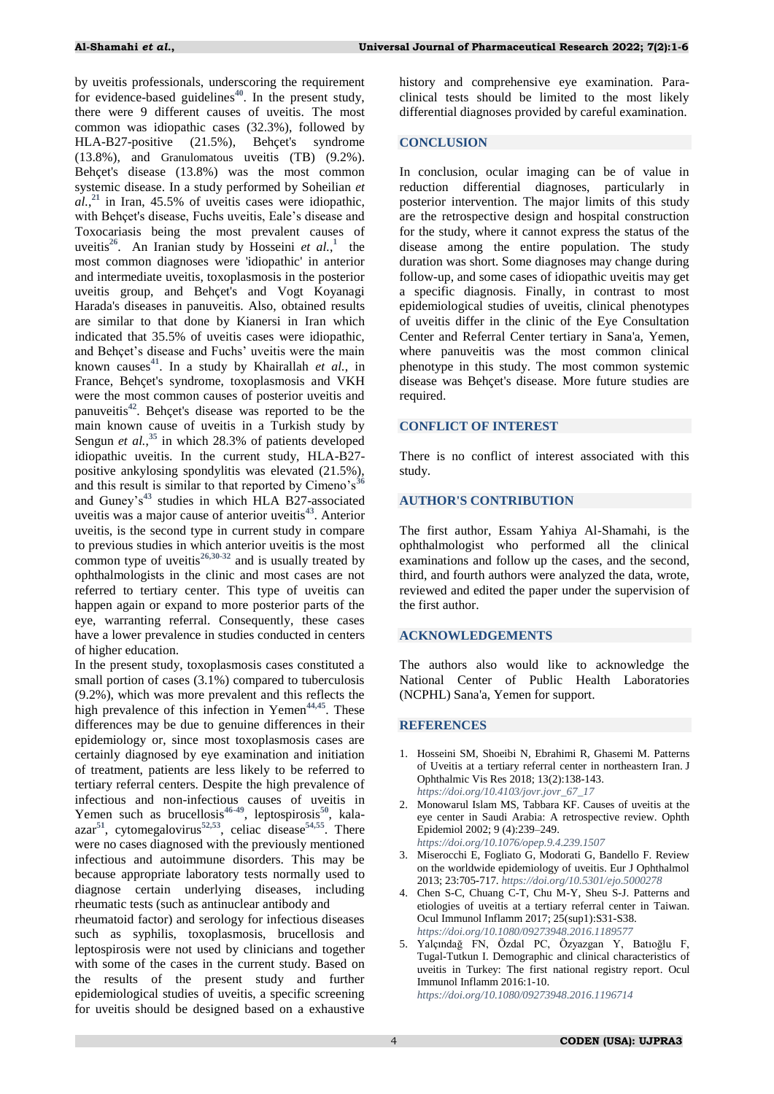by uveitis professionals, underscoring the requirement for evidence-based guidelines**[40](#page-4-18)**. In the present study, there were 9 different causes of uveitis. The most common was idiopathic cases (32.3%), followed by HLA-B27-positive (21.5%), Behçet's syndrome (13.8%), and Granulomatous uveitis (TB) (9.2%). Behçet's disease (13.8%) was the most common systemic disease. In a study performed by Soheilian *et*   $al.$ <sup>[21](#page-4-9)</sup> in Iran, 45.5% of uveitis cases were idiopathic, with Behçet's disease, Fuchs uveitis, Eale"s disease and Toxocariasis being the most prevalent causes of uveitis<sup>[26](#page-4-19)</sup>.An Iranian study by Hosseini *et al.*,<sup>1</sup> the most common diagnoses were 'idiopathic' in anterior and intermediate uveitis, toxoplasmosis in the posterior uveitis group, and Behçet's and Vogt Koyanagi Harada's diseases in panuveitis. Also, obtained results are similar to that done by Kianersi in Iran which indicated that 35.5% of uveitis cases were idiopathic, and Behçet's disease and Fuchs' uveitis were the main known causes**[41](#page-4-20)**. In a study by Khairallah *et al.*, in France, Behçet's syndrome, toxoplasmosis and VKH were the most common causes of posterior uveitis and panuveitis**[42](#page-4-21)**. Behçet's disease was reported to be the main known cause of uveitis in a Turkish study by Sengun *et al.*,<sup>[35](#page-4-22)</sup> in which 28.3% of patients developed idiopathic uveitis. In the current study, HLA-B27 positive ankylosing spondylitis was elevated (21.5%), and this result is similar to that reported by Cimeno's<sup>[36](#page-4-23)</sup> and Guney"s**[43](#page-4-24)** studies in which HLA B27-associated uveitis was a major cause of anterior uveitis**[43](#page-4-24)**. Anterior uveitis, is the second type in current study in compare to previous studies in which anterior uveitis is the most common type of uveitis**[26,](#page-4-19)[30](#page-4-11)[-32](#page-4-12)** and is usually treated by ophthalmologists in the clinic and most cases are not referred to tertiary center. This type of uveitis can happen again or expand to more posterior parts of the eye, warranting referral. Consequently, these cases have a lower prevalence in studies conducted in centers of higher education.

In the present study, toxoplasmosis cases constituted a small portion of cases (3.1%) compared to tuberculosis (9.2%), which was more prevalent and this reflects the high prevalence of this infection in Yemen<sup>[44,](#page-4-25)[45](#page-5-0)</sup>. These differences may be due to genuine differences in their epidemiology or, since most toxoplasmosis cases are certainly diagnosed by eye examination and initiation of treatment, patients are less likely to be referred to tertiary referral centers. Despite the high prevalence of infectious and non-infectious causes of uveitis in Yemen such as brucellosis**[46](#page-5-1)[-49](#page-5-2)**, leptospirosis**[50](#page-5-3)**, kalaazar**[51](#page-5-4)**, cytomegalovirus**[52,](#page-5-5)[53](#page-5-6)**, celiac disease**[54,](#page-5-7)[55](#page-5-8)** . There were no cases diagnosed with the previously mentioned infectious and autoimmune disorders. This may be because appropriate laboratory tests normally used to diagnose certain underlying diseases, including rheumatic tests (such as antinuclear antibody and

rheumatoid factor) and serology for infectious diseases such as syphilis, toxoplasmosis, brucellosis and leptospirosis were not used by clinicians and together with some of the cases in the current study. Based on the results of the present study and further epidemiological studies of uveitis, a specific screening for uveitis should be designed based on a exhaustive

history and comprehensive eye examination. Paraclinical tests should be limited to the most likely differential diagnoses provided by careful examination.

# **CONCLUSION**

In conclusion, ocular imaging can be of value in reduction differential diagnoses, particularly in posterior intervention. The major limits of this study are the retrospective design and hospital construction for the study, where it cannot express the status of the disease among the entire population. The study duration was short. Some diagnoses may change during follow-up, and some cases of idiopathic uveitis may get a specific diagnosis. Finally, in contrast to most epidemiological studies of uveitis, clinical phenotypes of uveitis differ in the clinic of the Eye Consultation Center and Referral Center tertiary in Sana'a, Yemen, where panuveitis was the most common clinical phenotype in this study. The most common systemic disease was Behçet's disease. More future studies are required.

#### **CONFLICT OF INTEREST**

There is no conflict of interest associated with this study.

#### **AUTHOR'S CONTRIBUTION**

The first author, Essam Yahiya Al-Shamahi, is the ophthalmologist who performed all the clinical examinations and follow up the cases, and the second, third, and fourth authors were analyzed the data, wrote, reviewed and edited the paper under the supervision of the first author.

## **ACKNOWLEDGEMENTS**

The authors also would like to acknowledge the National Center of Public Health Laboratories (NCPHL) Sana'a, Yemen for support.

#### **REFERENCES**

- <span id="page-3-0"></span>1. Hosseini SM, Shoeibi N, Ebrahimi R, Ghasemi M. Patterns of Uveitis at a tertiary referral center in northeastern Iran. J Ophthalmic Vis Res 2018; 13(2):138-143. *[https://doi.org/10.4103/jovr.jovr\\_67\\_17](https://doi.org/10.4103/jovr.jovr_67_17)*
- <span id="page-3-4"></span>2. Monowarul Islam MS, Tabbara KF. Causes of uveitis at the eye center in Saudi Arabia: A retrospective review. Ophth Epidemiol 2002; 9 (4):239–249. *<https://doi.org/10.1076/opep.9.4.239.1507>*
- <span id="page-3-1"></span>3. Miserocchi E, Fogliato G, Modorati G, Bandello F. Review on the worldwide epidemiology of uveitis. Eur J Ophthalmol 2013; 23:705-717. *<https://doi.org/10.5301/ejo.5000278>*
- <span id="page-3-2"></span>4. Chen S-C, Chuang C-T, Chu M-Y, Sheu S-J. Patterns and etiologies of uveitis at a tertiary referral center in Taiwan. Ocul Immunol Inflamm 2017; 25(sup1):S31-S38. *<https://doi.org/10.1080/09273948.2016.1189577>*
- <span id="page-3-3"></span>5. Yalçındağ FN, Özdal PC, Özyazgan Y, Batıoğlu F, Tugal-Tutkun I. Demographic and clinical characteristics of uveitis in Turkey: The first national registry report. Ocul Immunol Inflamm 2016:1-10. *<https://doi.org/10.1080/09273948.2016.1196714>*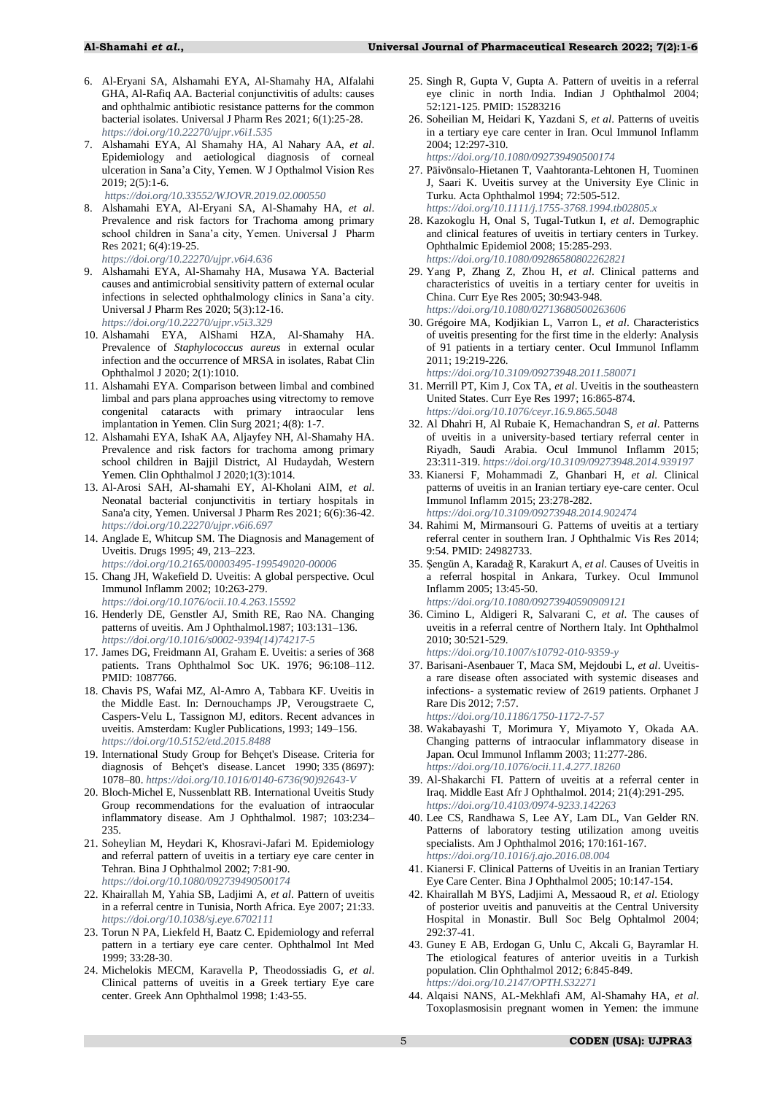- <span id="page-4-0"></span>6. Al-Eryani SA, Alshamahi EYA, Al-Shamahy HA, Alfalahi GHA, Al-Rafiq AA. Bacterial conjunctivitis of adults: causes and ophthalmic antibiotic resistance patterns for the common bacterial isolates. Universal J Pharm Res 2021; 6(1):25-28. *<https://doi.org/10.22270/ujpr.v6i1.535>*
- 7. Alshamahi EYA, Al Shamahy HA, Al Nahary AA, *et al*. Epidemiology and aetiological diagnosis of corneal ulceration in Sana"a City, Yemen. W J Opthalmol Vision Res 2019; 2(5):1-6.
	- *<https://doi.org/10.33552/WJOVR.2019.02.000550>*
- 8. Alshamahi EYA, Al-Eryani SA, Al-Shamahy HA, *et al*. Prevalence and risk factors for Trachoma among primary school children in Sana"a city, Yemen. Universal J Pharm Res 2021; 6(4):19-25.
	- *<https://doi.org/10.22270/ujpr.v6i4.636>*
- 9. Alshamahi EYA, Al-Shamahy HA, Musawa YA. Bacterial causes and antimicrobial sensitivity pattern of external ocular infections in selected ophthalmology clinics in Sana'a city. Universal J Pharm Res 2020; 5(3):12-16. *<https://doi.org/10.22270/ujpr.v5i3.329>*
- 10. Alshamahi EYA, AlShami HZA, Al-Shamahy HA. Prevalence of *Staphylococcus aureus* in external ocular infection and the occurrence of MRSA in isolates, Rabat Clin Ophthalmol J 2020; 2(1):1010.
- 11. Alshamahi EYA. Comparison between limbal and combined limbal and pars plana approaches using vitrectomy to remove congenital cataracts with primary intraocular lens implantation in Yemen. Clin Surg 2021; 4(8): 1-7.
- 12. Alshamahi EYA, IshaK AA, Aljayfey NH, Al-Shamahy HA. Prevalence and risk factors for trachoma among primary school children in Bajjil District, Al Hudaydah, Western Yemen. Clin Ophthalmol J 2020;1(3):1014.
- <span id="page-4-1"></span>13. Al-Arosi SAH, Al-shamahi EY, Al-Kholani AIM, *et al*. Neonatal bacterial conjunctivitis in tertiary hospitals in Sana'a city, Yemen. Universal J Pharm Res 2021; 6(6):36-42. *<https://doi.org/10.22270/ujpr.v6i6.697>*
- <span id="page-4-2"></span>14. Anglade E, Whitcup SM. The Diagnosis and Management of Uveitis. Drugs 1995; 49, 213–223. *<https://doi.org/10.2165/00003495-199549020-00006>*
- <span id="page-4-3"></span>15. Chang JH, Wakefield D. Uveitis: A global perspective. Ocul Immunol Inflamm 2002; 10:263-279. *<https://doi.org/10.1076/ocii.10.4.263.15592>*
- <span id="page-4-4"></span>16. Henderly DE, Genstler AJ, Smith RE, Rao NA. Changing patterns of uveitis. Am J Ophthalmol.1987; 103:131–136. *[https://doi.org/10.1016/s0002-9394\(14\)74217-5](https://doi.org/10.1016/s0002-9394(14)74217-5)*
- <span id="page-4-5"></span>17. James DG, Freidmann AI, Graham E. Uveitis: a series of 368 patients. Trans Ophthalmol Soc UK. 1976; 96:108–112. PMID: 1087766.
- <span id="page-4-6"></span>18. Chavis PS, Wafai MZ, Al-Amro A, Tabbara KF. Uveitis in the Middle East. In: Dernouchamps JP, Verougstraete C, Caspers-Velu L, Tassignon MJ, editors. Recent advances in uveitis. Amsterdam: Kugler Publications, 1993; 149–156. *<https://doi.org/10.5152/etd.2015.8488>*
- <span id="page-4-7"></span>19. International Study Group for Behçet's Disease. Criteria for diagnosis of Behçet's disease. Lancet 1990; 335 (8697): 1078–80. *[https://doi.org/10.1016/0140-6736\(90\)92643-V](https://doi.org/10.1016/0140-6736(90)92643-V)*
- <span id="page-4-8"></span>20. Bloch-Michel E, Nussenblatt RB. International Uveitis Study Group recommendations for the evaluation of intraocular inflammatory disease. Am J Ophthalmol. 1987; 103:234– 235.
- <span id="page-4-9"></span>21. Soheylian M, Heydari K, Khosravi-Jafari M. Epidemiology and referral pattern of uveitis in a tertiary eye care center in Tehran. Bina J Ophthalmol 2002; 7:81-90. *<https://doi.org/10.1080/092739490500174>*
- 22. Khairallah M, Yahia SB, Ladjimi A, *et al*. Pattern of uveitis in a referral centre in Tunisia, North Africa. Eye 2007; 21:33. *<https://doi.org/10.1038/sj.eye.6702111>*
- 23. Torun N PA, Liekfeld H, Baatz C. Epidemiology and referral pattern in a tertiary eye care center. Ophthalmol Int Med 1999; 33:28-30.
- 24. Michelokis MECM, Karavella P, Theodossiadis G, *et al*. Clinical patterns of uveitis in a Greek tertiary Eye care center. Greek Ann Ophthalmol 1998; 1:43-55.
- <span id="page-4-13"></span>25. Singh R, Gupta V, Gupta A. Pattern of uveitis in a referral eye clinic in north India. Indian J Ophthalmol 2004; 52:121-125. PMID: 15283216
- <span id="page-4-19"></span>26. Soheilian M, Heidari K, Yazdani S, *et al*. Patterns of uveitis in a tertiary eye care center in Iran. Ocul Immunol Inflamm 2004; 12:297-310.

*<https://doi.org/10.1080/092739490500174>*

- 27. Päivönsalo-Hietanen T, Vaahtoranta-Lehtonen H, Tuominen J, Saari K. Uveitis survey at the University Eye Clinic in Turku. Acta Ophthalmol 1994; 72:505-512. *<https://doi.org/10.1111/j.1755-3768.1994.tb02805.x>*
- 28. Kazokoglu H, Onal S, Tugal-Tutkun I, *et al*. Demographic and clinical features of uveitis in tertiary centers in Turkey. Ophthalmic Epidemiol 2008; 15:285-293. *<https://doi.org/10.1080/09286580802262821>*
- <span id="page-4-10"></span>29. Yang P, Zhang Z, Zhou H, *et al*. Clinical patterns and characteristics of uveitis in a tertiary center for uveitis in China. Curr Eye Res 2005; 30:943-948. *<https://doi.org/10.1080/02713680500263606>*
- <span id="page-4-11"></span>30. Grégoire MA, Kodjikian L, Varron L, *et al*. Characteristics of uveitis presenting for the first time in the elderly: Analysis of 91 patients in a tertiary center. Ocul Immunol Inflamm 2011; 19:219-226.

*<https://doi.org/10.3109/09273948.2011.580071>*

- 31. Merrill PT, Kim J, Cox TA, *et al*. Uveitis in the southeastern United States. Curr Eye Res 1997; 16:865-874. *<https://doi.org/10.1076/ceyr.16.9.865.5048>*
- <span id="page-4-12"></span>32. Al Dhahri H, Al Rubaie K, Hemachandran S, *et al*. Patterns of uveitis in a university-based tertiary referral center in Riyadh, Saudi Arabia. Ocul Immunol Inflamm 2015; 23:311-319. *<https://doi.org/10.3109/09273948.2014.939197>*
- <span id="page-4-14"></span>33. Kianersi F, Mohammadi Z, Ghanbari H, *et al*. Clinical patterns of uveitis in an Iranian tertiary eye-care center. Ocul Immunol Inflamm 2015; 23:278-282. *<https://doi.org/10.3109/09273948.2014.902474>*
- 34. Rahimi M, Mirmansouri G. Patterns of uveitis at a tertiary referral center in southern Iran. J Ophthalmic Vis Res 2014; 9:54. PMID: [24982733.](https://www.ncbi.nlm.nih.gov/pubmed/24982733)
- <span id="page-4-22"></span>35. Şengün A, Karadağ R, Karakurt A, *et al*. Causes of Uveitis in a referral hospital in Ankara, Turkey. Ocul Immunol Inflamm 2005; 13:45-50. *<https://doi.org/10.1080/09273940590909121>*
- <span id="page-4-23"></span>36. Cimino L, Aldigeri R, Salvarani C, *et al*. The causes of uveitis in a referral centre of Northern Italy. Int Ophthalmol 2010; 30:521-529.
- *<https://doi.org/10.1007/s10792-010-9359-y>* 37. Barisani-Asenbauer T, Maca SM, Mejdoubi L, *et al*. Uveitis-
- <span id="page-4-15"></span>a rare disease often associated with systemic diseases and infections- a systematic review of 2619 patients. Orphanet J Rare Dis 2012; 7:57. *<https://doi.org/10.1186/1750-1172-7-57>*
- <span id="page-4-16"></span>38. Wakabayashi T, Morimura Y, Miyamoto Y, Okada AA. Changing patterns of intraocular inflammatory disease in Japan. Ocul Immunol Inflamm 2003; 11:277-286. *<https://doi.org/10.1076/ocii.11.4.277.18260>*
- <span id="page-4-17"></span>39. Al-Shakarchi FI. Pattern of uveitis at a referral center in Iraq. Middle East Afr J Ophthalmol. 2014; 21(4):291-295. *<https://doi.org/10.4103/0974-9233.142263>*
- <span id="page-4-18"></span>40. Lee CS, Randhawa S, Lee AY, Lam DL, Van Gelder RN. Patterns of laboratory testing utilization among uveitis specialists. Am J Ophthalmol 2016; 170:161-167. *<https://doi.org/10.1016/j.ajo.2016.08.004>*
- <span id="page-4-20"></span>41. Kianersi F. Clinical Patterns of Uveitis in an Iranian Tertiary Eye Care Center. Bina J Ophthalmol 2005; 10:147-154.
- <span id="page-4-21"></span>42. Khairallah M BYS, Ladjimi A, Messaoud R, *et al*. Etiology of posterior uveitis and panuveitis at the Central University Hospital in Monastir. Bull Soc Belg Ophtalmol 2004; 292:37-41.
- <span id="page-4-24"></span>43. Guney E AB, Erdogan G, Unlu C, Akcali G, Bayramlar H. The etiological features of anterior uveitis in a Turkish population. Clin Ophthalmol 2012; 6:845-849. *<https://doi.org/10.2147/OPTH.S32271>*
- <span id="page-4-25"></span>44. Alqaisi NANS, AL-Mekhlafi AM, Al-Shamahy HA, *et al*. Toxoplasmosisin pregnant women in Yemen: the immune